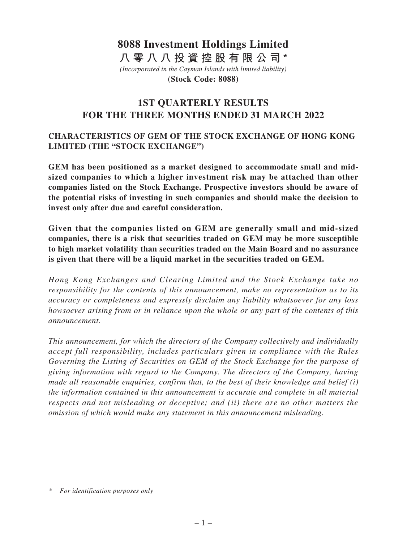# *(Incorporated in the Cayman Islands with limited liability)* **8088 Investment Holdings Limited 八零八八投資控股有限公司\***

**(Stock Code: 8088)**

# **1ST QUARTERLY RESULTS FOR THE THREE MONTHS ENDED 31 MARCH 2022**

# **CHARACTERISTICS OF GEM OF THE STOCK EXCHANGE OF HONG KONG LIMITED (THE "STOCK EXCHANGE")**

**GEM has been positioned as a market designed to accommodate small and midsized companies to which a higher investment risk may be attached than other companies listed on the Stock Exchange. Prospective investors should be aware of the potential risks of investing in such companies and should make the decision to invest only after due and careful consideration.** 

**Given that the companies listed on GEM are generally small and mid-sized companies, there is a risk that securities traded on GEM may be more susceptible to high market volatility than securities traded on the Main Board and no assurance is given that there will be a liquid market in the securities traded on GEM.**

*Hong Kong Exchanges and Clearing Limited and the Stock Exchange take no responsibility for the contents of this announcement, make no representation as to its accuracy or completeness and expressly disclaim any liability whatsoever for any loss howsoever arising from or in reliance upon the whole or any part of the contents of this announcement.*

*This announcement, for which the directors of the Company collectively and individually accept full responsibility, includes particulars given in compliance with the Rules Governing the Listing of Securities on GEM of the Stock Exchange for the purpose of giving information with regard to the Company. The directors of the Company, having made all reasonable enquiries, confirm that, to the best of their knowledge and belief (i) the information contained in this announcement is accurate and complete in all material respects and not misleading or deceptive; and (ii) there are no other matters the omission of which would make any statement in this announcement misleading.*

<sup>\*</sup> *For identification purposes only*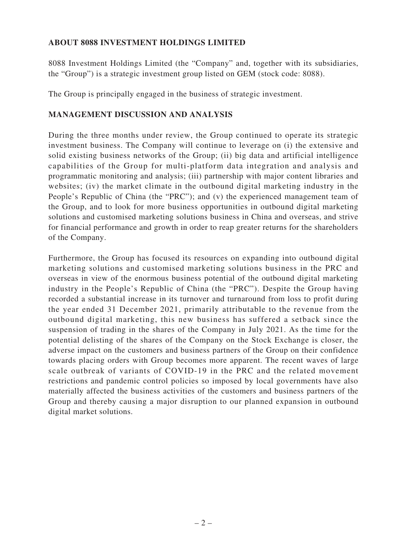# **ABOUT 8088 INVESTMENT HOLDINGS LIMITED**

8088 Investment Holdings Limited (the "Company" and, together with its subsidiaries, the "Group") is a strategic investment group listed on GEM (stock code: 8088).

The Group is principally engaged in the business of strategic investment.

# **MANAGEMENT DISCUSSION AND ANALYSIS**

During the three months under review, the Group continued to operate its strategic investment business. The Company will continue to leverage on (i) the extensive and solid existing business networks of the Group; (ii) big data and artificial intelligence capabilities of the Group for multi-platform data integration and analysis and programmatic monitoring and analysis; (iii) partnership with major content libraries and websites; (iv) the market climate in the outbound digital marketing industry in the People's Republic of China (the "PRC"); and (v) the experienced management team of the Group, and to look for more business opportunities in outbound digital marketing solutions and customised marketing solutions business in China and overseas, and strive for financial performance and growth in order to reap greater returns for the shareholders of the Company.

Furthermore, the Group has focused its resources on expanding into outbound digital marketing solutions and customised marketing solutions business in the PRC and overseas in view of the enormous business potential of the outbound digital marketing industry in the People's Republic of China (the "PRC"). Despite the Group having recorded a substantial increase in its turnover and turnaround from loss to profit during the year ended 31 December 2021, primarily attributable to the revenue from the outbound digital marketing, this new business has suffered a setback since the suspension of trading in the shares of the Company in July 2021. As the time for the potential delisting of the shares of the Company on the Stock Exchange is closer, the adverse impact on the customers and business partners of the Group on their confidence towards placing orders with Group becomes more apparent. The recent waves of large scale outbreak of variants of COVID-19 in the PRC and the related movement restrictions and pandemic control policies so imposed by local governments have also materially affected the business activities of the customers and business partners of the Group and thereby causing a major disruption to our planned expansion in outbound digital market solutions.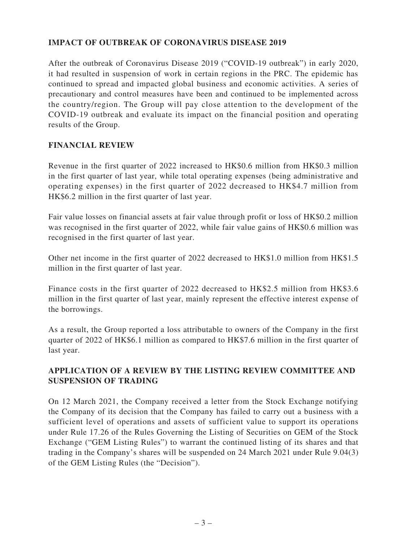# **IMPACT OF OUTBREAK OF CORONAVIRUS DISEASE 2019**

After the outbreak of Coronavirus Disease 2019 ("COVID-19 outbreak") in early 2020, it had resulted in suspension of work in certain regions in the PRC. The epidemic has continued to spread and impacted global business and economic activities. A series of precautionary and control measures have been and continued to be implemented across the country/region. The Group will pay close attention to the development of the COVID-19 outbreak and evaluate its impact on the financial position and operating results of the Group.

### **FINANCIAL REVIEW**

Revenue in the first quarter of 2022 increased to HK\$0.6 million from HK\$0.3 million in the first quarter of last year, while total operating expenses (being administrative and operating expenses) in the first quarter of 2022 decreased to HK\$4.7 million from HK\$6.2 million in the first quarter of last year.

Fair value losses on financial assets at fair value through profit or loss of HK\$0.2 million was recognised in the first quarter of 2022, while fair value gains of HK\$0.6 million was recognised in the first quarter of last year.

Other net income in the first quarter of 2022 decreased to HK\$1.0 million from HK\$1.5 million in the first quarter of last year.

Finance costs in the first quarter of 2022 decreased to HK\$2.5 million from HK\$3.6 million in the first quarter of last year, mainly represent the effective interest expense of the borrowings.

As a result, the Group reported a loss attributable to owners of the Company in the first quarter of 2022 of HK\$6.1 million as compared to HK\$7.6 million in the first quarter of last year.

# **APPLICATION OF A REVIEW BY THE LISTING REVIEW COMMITTEE AND SUSPENSION OF TRADING**

On 12 March 2021, the Company received a letter from the Stock Exchange notifying the Company of its decision that the Company has failed to carry out a business with a sufficient level of operations and assets of sufficient value to support its operations under Rule 17.26 of the Rules Governing the Listing of Securities on GEM of the Stock Exchange ("GEM Listing Rules") to warrant the continued listing of its shares and that trading in the Company's shares will be suspended on 24 March 2021 under Rule 9.04(3) of the GEM Listing Rules (the "Decision").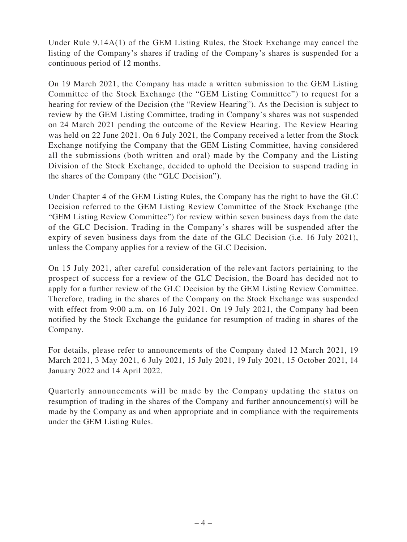Under Rule 9.14A(1) of the GEM Listing Rules, the Stock Exchange may cancel the listing of the Company's shares if trading of the Company's shares is suspended for a continuous period of 12 months.

On 19 March 2021, the Company has made a written submission to the GEM Listing Committee of the Stock Exchange (the "GEM Listing Committee") to request for a hearing for review of the Decision (the "Review Hearing"). As the Decision is subject to review by the GEM Listing Committee, trading in Company's shares was not suspended on 24 March 2021 pending the outcome of the Review Hearing. The Review Hearing was held on 22 June 2021. On 6 July 2021, the Company received a letter from the Stock Exchange notifying the Company that the GEM Listing Committee, having considered all the submissions (both written and oral) made by the Company and the Listing Division of the Stock Exchange, decided to uphold the Decision to suspend trading in the shares of the Company (the "GLC Decision").

Under Chapter 4 of the GEM Listing Rules, the Company has the right to have the GLC Decision referred to the GEM Listing Review Committee of the Stock Exchange (the "GEM Listing Review Committee") for review within seven business days from the date of the GLC Decision. Trading in the Company's shares will be suspended after the expiry of seven business days from the date of the GLC Decision (i.e. 16 July 2021), unless the Company applies for a review of the GLC Decision.

On 15 July 2021, after careful consideration of the relevant factors pertaining to the prospect of success for a review of the GLC Decision, the Board has decided not to apply for a further review of the GLC Decision by the GEM Listing Review Committee. Therefore, trading in the shares of the Company on the Stock Exchange was suspended with effect from 9:00 a.m. on 16 July 2021. On 19 July 2021, the Company had been notified by the Stock Exchange the guidance for resumption of trading in shares of the Company.

For details, please refer to announcements of the Company dated 12 March 2021, 19 March 2021, 3 May 2021, 6 July 2021, 15 July 2021, 19 July 2021, 15 October 2021, 14 January 2022 and 14 April 2022.

Quarterly announcements will be made by the Company updating the status on resumption of trading in the shares of the Company and further announcement(s) will be made by the Company as and when appropriate and in compliance with the requirements under the GEM Listing Rules.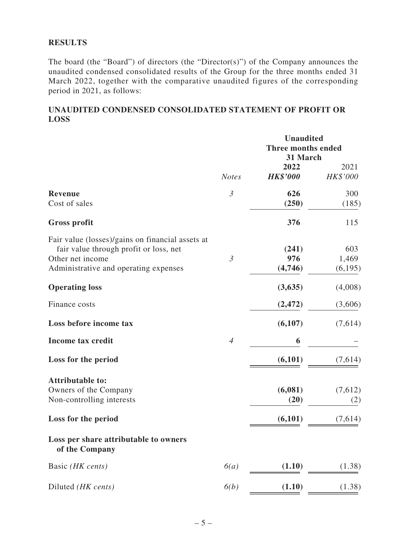### **RESULTS**

The board (the "Board") of directors (the "Director(s)") of the Company announces the unaudited condensed consolidated results of the Group for the three months ended 31 March 2022, together with the comparative unaudited figures of the corresponding period in 2021, as follows:

### **UNAUDITED CONDENSED CONSOLIDATED STATEMENT OF PROFIT OR LOSS**

|                                                           |                | <b>Unaudited</b> |                    |  |  |
|-----------------------------------------------------------|----------------|------------------|--------------------|--|--|
|                                                           |                |                  | Three months ended |  |  |
|                                                           |                | 31 March<br>2022 | 2021               |  |  |
|                                                           | <b>Notes</b>   | <b>HK\$'000</b>  | HK\$'000           |  |  |
| <b>Revenue</b>                                            | $\mathfrak{Z}$ | 626              | 300                |  |  |
| Cost of sales                                             |                | (250)            | (185)              |  |  |
| <b>Gross profit</b>                                       |                | 376              | 115                |  |  |
| Fair value (losses)/gains on financial assets at          |                |                  |                    |  |  |
| fair value through profit or loss, net                    |                | (241)            | 603                |  |  |
| Other net income<br>Administrative and operating expenses | $\mathfrak{Z}$ | 976<br>(4,746)   | 1,469<br>(6,195)   |  |  |
| <b>Operating loss</b>                                     |                | (3,635)          | (4,008)            |  |  |
| Finance costs                                             |                | (2, 472)         | (3,606)            |  |  |
| Loss before income tax                                    |                | (6,107)          | (7,614)            |  |  |
| <b>Income tax credit</b>                                  | $\overline{4}$ | 6                |                    |  |  |
| Loss for the period                                       |                | (6,101)          | (7,614)            |  |  |
| <b>Attributable to:</b>                                   |                |                  |                    |  |  |
| Owners of the Company                                     |                | (6,081)          | (7,612)            |  |  |
| Non-controlling interests                                 |                | (20)             | (2)                |  |  |
| Loss for the period                                       |                | (6,101)          | (7,614)            |  |  |
| Loss per share attributable to owners<br>of the Company   |                |                  |                    |  |  |
| Basic (HK cents)                                          | 6(a)           | (1.10)           | (1.38)             |  |  |
| Diluted (HK cents)                                        | 6(b)           | (1.10)           | (1.38)             |  |  |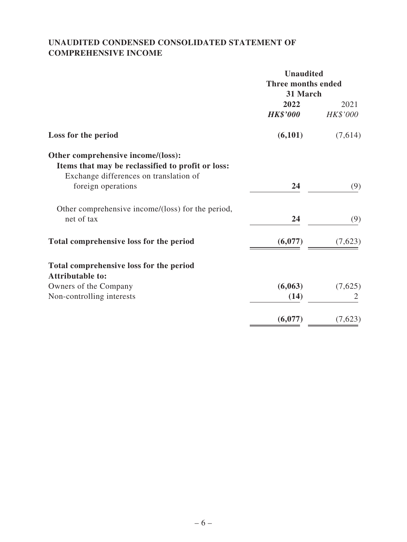# **UNAUDITED CONDENSED CONSOLIDATED STATEMENT OF COMPREHENSIVE INCOME**

|                                                                                                                                   | <b>Unaudited</b><br>Three months ended<br>31 March |                  |  |  |
|-----------------------------------------------------------------------------------------------------------------------------------|----------------------------------------------------|------------------|--|--|
|                                                                                                                                   | 2022<br><b>HK\$'000</b>                            | 2021<br>HK\$'000 |  |  |
| Loss for the period                                                                                                               | (6,101)                                            | (7,614)          |  |  |
| Other comprehensive income/(loss):<br>Items that may be reclassified to profit or loss:<br>Exchange differences on translation of |                                                    |                  |  |  |
| foreign operations                                                                                                                | 24                                                 | (9)              |  |  |
| Other comprehensive income/(loss) for the period,<br>net of tax                                                                   | 24                                                 | (9)              |  |  |
| Total comprehensive loss for the period                                                                                           | (6,077)                                            | (7,623)          |  |  |
| Total comprehensive loss for the period<br><b>Attributable to:</b>                                                                |                                                    |                  |  |  |
| Owners of the Company                                                                                                             | (6,063)                                            | (7,625)          |  |  |
| Non-controlling interests                                                                                                         | (14)                                               | 2                |  |  |
|                                                                                                                                   | (6,077)                                            | (7,623)          |  |  |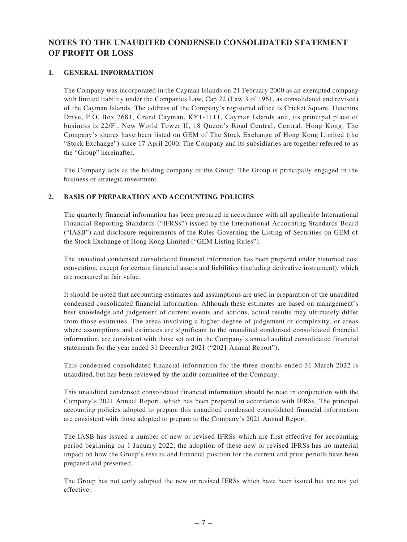# **NOTES TO THE UNAUDITED CONDENSED CONSOLIDATED STATEMENT OF PROFIT OR LOSS**

#### **1. GENERAL INFORMATION**

The Company was incorporated in the Cayman Islands on 21 February 2000 as an exempted company with limited liability under the Companies Law, Cap 22 (Law 3 of 1961, as consolidated and revised) of the Cayman Islands. The address of the Company's registered office is Cricket Square, Hutchins Drive, P.O. Box 2681, Grand Cayman, KY1-1111, Cayman Islands and, its principal place of business is 22/F., New World Tower II, 18 Queen's Road Central, Central, Hong Kong. The Company's shares have been listed on GEM of The Stock Exchange of Hong Kong Limited (the "Stock Exchange") since 17 April 2000. The Company and its subsidiaries are together referred to as the "Group" hereinafter.

The Company acts as the holding company of the Group. The Group is principally engaged in the business of strategic investment.

#### **2. BASIS OF PREPARATION AND ACCOUNTING POLICIES**

The quarterly financial information has been prepared in accordance with all applicable International Financial Reporting Standards ("IFRSs") issued by the International Accounting Standards Board ("IASB") and disclosure requirements of the Rules Governing the Listing of Securities on GEM of the Stock Exchange of Hong Kong Limited ("GEM Listing Rules").

The unaudited condensed consolidated financial information has been prepared under historical cost convention, except for certain financial assets and liabilities (including derivative instrument), which are measured at fair value.

It should be noted that accounting estimates and assumptions are used in preparation of the unaudited condensed consolidated financial information. Although these estimates are based on management's best knowledge and judgement of current events and actions, actual results may ultimately differ from those estimates. The areas involving a higher degree of judgement or complexity, or areas where assumptions and estimates are significant to the unaudited condensed consolidated financial information, are consistent with those set out in the Company's annual audited consolidated financial statements for the year ended 31 December 2021 ("2021 Annual Report").

This condensed consolidated financial information for the three months ended 31 March 2022 is unaudited, but has been reviewed by the audit committee of the Company.

This unaudited condensed consolidated financial information should be read in conjunction with the Company's 2021 Annual Report, which has been prepared in accordance with IFRSs. The principal accounting policies adopted to prepare this unaudited condensed consolidated financial information are consistent with those adopted to prepare to the Company's 2021 Annual Report.

The IASB has issued a number of new or revised IFRSs which are first effective for accounting period beginning on 1 January 2022, the adoption of these new or revised IFRSs has no material impact on how the Group's results and financial position for the current and prior periods have been prepared and presented.

The Group has not early adopted the new or revised IFRSs which have been issued but are not yet effective.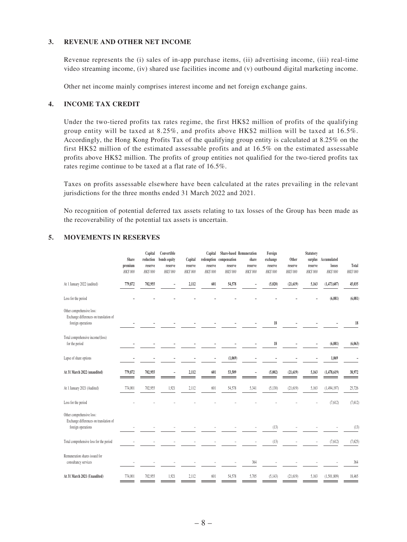#### **3. REVENUE AND OTHER NET INCOME**

Revenue represents the (i) sales of in-app purchase items, (ii) advertising income, (iii) real-time video streaming income, (iv) shared use facilities income and (v) outbound digital marketing income.

Other net income mainly comprises interest income and net foreign exchange gains.

#### **4. INCOME TAX CREDIT**

Under the two-tiered profits tax rates regime, the first HK\$2 million of profits of the qualifying group entity will be taxed at 8.25%, and profits above HK\$2 million will be taxed at 16.5%. Accordingly, the Hong Kong Profits Tax of the qualifying group entity is calculated at 8.25% on the first HK\$2 million of the estimated assessable profits and at 16.5% on the estimated assessable profits above HK\$2 million. The profits of group entities not qualified for the two-tiered profits tax rates regime continue to be taxed at a flat rate of 16.5%.

Taxes on profits assessable elsewhere have been calculated at the rates prevailing in the relevant jurisdictions for the three months ended 31 March 2022 and 2021.

No recognition of potential deferred tax assets relating to tax losses of the Group has been made as the recoverability of the potential tax assets is uncertain.

#### **5. MOVEMENTS IN RESERVES**

|                                                                                           | Share<br>premium<br>HK\$'000 | Capital<br>reduction<br>reserve<br>HK\$'000 | Convertible<br>bonds equity<br>reserve<br>HK\$'000 | Capital<br>reserve<br>HK\$'000 | Capital<br>reserve<br>HK\$'000 | redemption compensation<br>reserve<br>HK\$'000 | Share-based Remuneration<br>share<br>reserve<br>HK\$'000 | Foreign<br>exchange<br>reserve<br>HK\$'000 | Other<br>reserve<br>HK\$'000 | <b>Statutory</b><br>reserve<br>HK\$'000 | surplus Accumulated<br>losses<br>HK\$'000 | Total<br>HK\$'000 |
|-------------------------------------------------------------------------------------------|------------------------------|---------------------------------------------|----------------------------------------------------|--------------------------------|--------------------------------|------------------------------------------------|----------------------------------------------------------|--------------------------------------------|------------------------------|-----------------------------------------|-------------------------------------------|-------------------|
| At 1 January 2022 (audited)                                                               | 779,872                      | 702,955                                     |                                                    | 2,112                          | 601                            | 54,578                                         |                                                          | (5,020)                                    | (21, 619)                    | 5,163                                   | (1,473,607)                               | 45,035            |
| Loss for the period                                                                       |                              |                                             |                                                    |                                |                                |                                                |                                                          |                                            |                              |                                         | (6,081)                                   | (6,081)           |
| Other comprehensive loss:<br>Exchange differences on translation of<br>foreign operations |                              |                                             |                                                    |                                |                                |                                                |                                                          | 18                                         |                              |                                         |                                           | 18                |
| Total comprehensive income/(loss)<br>for the period                                       |                              |                                             |                                                    |                                |                                |                                                |                                                          | 18                                         |                              |                                         | (6,081)                                   | (6,063)           |
| Lapse of share options                                                                    |                              |                                             |                                                    |                                |                                | (1,069)                                        |                                                          |                                            |                              |                                         | 1,069                                     |                   |
| At 31 March 2022 (unaudited)                                                              | 779,872                      | 702,955                                     |                                                    | 2,112                          | 601                            | 53,509                                         |                                                          | (5,002)                                    | (21, 619)                    | 5,163                                   | (1,478,619)                               | 38,972            |
| At 1 January 2021 (Audited)                                                               | 774,001                      | 702,955                                     | 1,921                                              | 2,112                          | 601                            | 54,578                                         | 5,341                                                    | (5, 130)                                   | (21, 619)                    | 5,163                                   | (1,494,197)                               | 25,726            |
| Loss for the period                                                                       |                              |                                             |                                                    |                                |                                |                                                |                                                          |                                            |                              |                                         | (7,612)                                   | (7,612)           |
| Other comprehensive loss:<br>Exchange differences on translation of<br>foreign operations |                              |                                             |                                                    |                                |                                |                                                |                                                          | (13)                                       |                              |                                         |                                           | (13)              |
| Total comprehensive loss for the period                                                   |                              |                                             |                                                    |                                |                                |                                                |                                                          | (13)                                       |                              |                                         | (7,612)                                   | (7,625)           |
| Remuneration shares issued for<br>consultancy services                                    |                              |                                             |                                                    |                                |                                |                                                | 364                                                      |                                            |                              |                                         |                                           | 364               |
| At 31 March 2021 (Unaudited)                                                              | 774,001                      | 702,955                                     | 1,921                                              | 2,112                          | 601                            | 54,578                                         | 5,705                                                    | (5, 143)                                   | (21, 619)                    | 5,163                                   | (1,501,809)                               | 18,465            |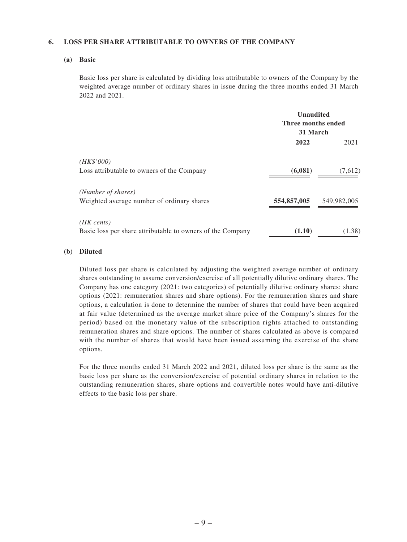#### **6. LOSS PER SHARE ATTRIBUTABLE TO OWNERS OF THE COMPANY**

#### **(a) Basic**

Basic loss per share is calculated by dividing loss attributable to owners of the Company by the weighted average number of ordinary shares in issue during the three months ended 31 March 2022 and 2021.

|                                                            | <b>Unaudited</b><br>Three months ended<br>31 March |             |
|------------------------------------------------------------|----------------------------------------------------|-------------|
|                                                            | 2022                                               | 2021        |
| (HK\$'000)                                                 |                                                    |             |
| Loss attributable to owners of the Company                 | (6,081)                                            | (7,612)     |
| (Number of shares)                                         |                                                    |             |
| Weighted average number of ordinary shares                 | 554,857,005                                        | 549,982,005 |
| $(HK \text{ cents})$                                       |                                                    |             |
| Basic loss per share attributable to owners of the Company | (1.10)                                             | (1.38)      |

#### **(b) Diluted**

Diluted loss per share is calculated by adjusting the weighted average number of ordinary shares outstanding to assume conversion/exercise of all potentially dilutive ordinary shares. The Company has one category (2021: two categories) of potentially dilutive ordinary shares: share options (2021: remuneration shares and share options). For the remuneration shares and share options, a calculation is done to determine the number of shares that could have been acquired at fair value (determined as the average market share price of the Company's shares for the period) based on the monetary value of the subscription rights attached to outstanding remuneration shares and share options. The number of shares calculated as above is compared with the number of shares that would have been issued assuming the exercise of the share options.

For the three months ended 31 March 2022 and 2021, diluted loss per share is the same as the basic loss per share as the conversion/exercise of potential ordinary shares in relation to the outstanding remuneration shares, share options and convertible notes would have anti-dilutive effects to the basic loss per share.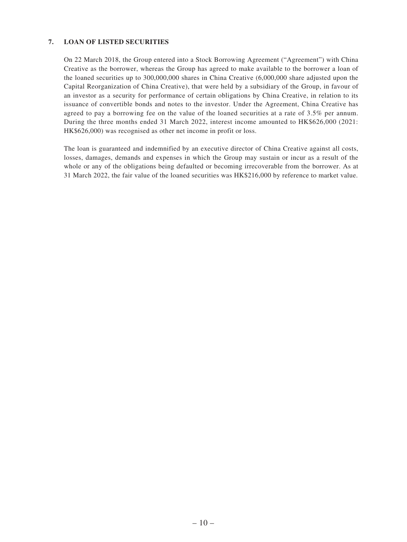#### **7. LOAN OF LISTED SECURITIES**

On 22 March 2018, the Group entered into a Stock Borrowing Agreement ("Agreement") with China Creative as the borrower, whereas the Group has agreed to make available to the borrower a loan of the loaned securities up to 300,000,000 shares in China Creative (6,000,000 share adjusted upon the Capital Reorganization of China Creative), that were held by a subsidiary of the Group, in favour of an investor as a security for performance of certain obligations by China Creative, in relation to its issuance of convertible bonds and notes to the investor. Under the Agreement, China Creative has agreed to pay a borrowing fee on the value of the loaned securities at a rate of 3.5% per annum. During the three months ended 31 March 2022, interest income amounted to HK\$626,000 (2021: HK\$626,000) was recognised as other net income in profit or loss.

The loan is guaranteed and indemnified by an executive director of China Creative against all costs, losses, damages, demands and expenses in which the Group may sustain or incur as a result of the whole or any of the obligations being defaulted or becoming irrecoverable from the borrower. As at 31 March 2022, the fair value of the loaned securities was HK\$216,000 by reference to market value.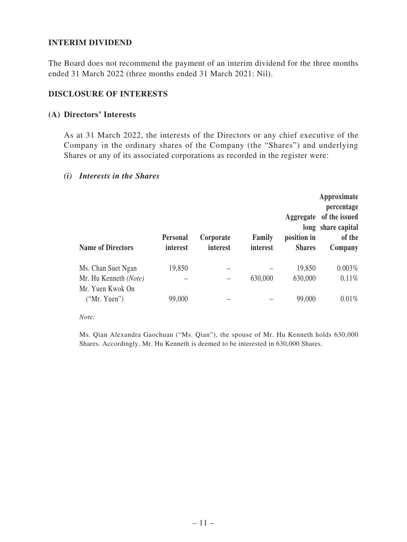### **INTERIM DIVIDEND**

The Board does not recommend the payment of an interim dividend for the three months ended 31 March 2022 (three months ended 31 March 2021: Nil).

### **DISCLOSURE OF INTERESTS**

### **(A) Directors' Interests**

As at 31 March 2022, the interests of the Directors or any chief executive of the Company in the ordinary shares of the Company (the "Shares") and underlying Shares or any of its associated corporations as recorded in the register were:

### *(i) Interests in the Shares*

| <b>Name of Directors</b>         | <b>Personal</b><br>interest | Corporate<br>interest | Family<br>interest | Aggregate<br>position in<br><b>Shares</b> | Approximate<br>percentage<br>of the issued<br>long share capital<br>of the<br>Company |
|----------------------------------|-----------------------------|-----------------------|--------------------|-------------------------------------------|---------------------------------------------------------------------------------------|
| Ms. Chan Suet Ngan               | 19,850                      |                       |                    | 19,850                                    | $0.003\%$                                                                             |
| Mr. Hu Kenneth (Note)            |                             |                       | 630,000            | 630,000                                   | 0.11%                                                                                 |
| Mr. Yuen Kwok On<br>("Mr. Yuen") | 99,000                      |                       |                    | 99,000                                    | $0.01\%$                                                                              |

*Note:*

Ms. Qian Alexandra Gaochuan ("Ms. Qian"), the spouse of Mr. Hu Kenneth holds 630,000 Shares. Accordingly, Mr. Hu Kenneth is deemed to be interested in 630,000 Shares.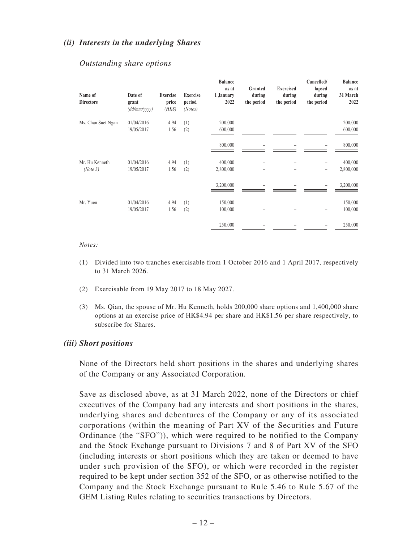### *(ii) Interests in the underlying Shares*

| Name of<br><b>Directors</b> | Date of<br>grant<br>(dd/mm/yyyy) | <b>Exercise</b><br>price<br>$(HK\$ | <b>Exercise</b><br>period<br>(Notes) | <b>Balance</b><br>as at<br>1 January<br>2022 | Granted<br>during<br>the period | <b>Exercised</b><br>during<br>the period | Cancelled/<br>lapsed<br>during<br>the period | <b>Balance</b><br>as at<br>31 March<br>2022 |
|-----------------------------|----------------------------------|------------------------------------|--------------------------------------|----------------------------------------------|---------------------------------|------------------------------------------|----------------------------------------------|---------------------------------------------|
| Ms. Chan Suet Ngan          | 01/04/2016<br>19/05/2017         | 4.94<br>1.56                       | (1)<br>(2)                           | 200,000<br>600,000                           |                                 |                                          |                                              | 200,000<br>600,000                          |
|                             |                                  |                                    |                                      | 800,000                                      |                                 |                                          |                                              | 800,000                                     |
| Mr. Hu Kenneth<br>(Note 3)  | 01/04/2016<br>19/05/2017         | 4.94<br>1.56                       | (1)<br>(2)                           | 400,000<br>2,800,000                         |                                 |                                          |                                              | 400,000<br>2,800,000                        |
|                             |                                  |                                    |                                      | 3,200,000                                    |                                 |                                          |                                              | 3,200,000                                   |
| Mr. Yuen                    | 01/04/2016<br>19/05/2017         | 4.94<br>1.56                       | (1)<br>(2)                           | 150,000<br>100,000                           |                                 |                                          |                                              | 150,000<br>100,000                          |
|                             |                                  |                                    |                                      | 250,000                                      |                                 |                                          |                                              | 250,000                                     |

### *Outstanding share options*

#### *Notes:*

- (1) Divided into two tranches exercisable from 1 October 2016 and 1 April 2017, respectively to 31 March 2026.
- (2) Exercisable from 19 May 2017 to 18 May 2027.
- (3) Ms. Qian, the spouse of Mr. Hu Kenneth, holds 200,000 share options and 1,400,000 share options at an exercise price of HK\$4.94 per share and HK\$1.56 per share respectively, to subscribe for Shares.

### *(iii) Short positions*

None of the Directors held short positions in the shares and underlying shares of the Company or any Associated Corporation.

Save as disclosed above, as at 31 March 2022, none of the Directors or chief executives of the Company had any interests and short positions in the shares, underlying shares and debentures of the Company or any of its associated corporations (within the meaning of Part XV of the Securities and Future Ordinance (the "SFO")), which were required to be notified to the Company and the Stock Exchange pursuant to Divisions 7 and 8 of Part XV of the SFO (including interests or short positions which they are taken or deemed to have under such provision of the SFO), or which were recorded in the register required to be kept under section 352 of the SFO, or as otherwise notified to the Company and the Stock Exchange pursuant to Rule 5.46 to Rule 5.67 of the GEM Listing Rules relating to securities transactions by Directors.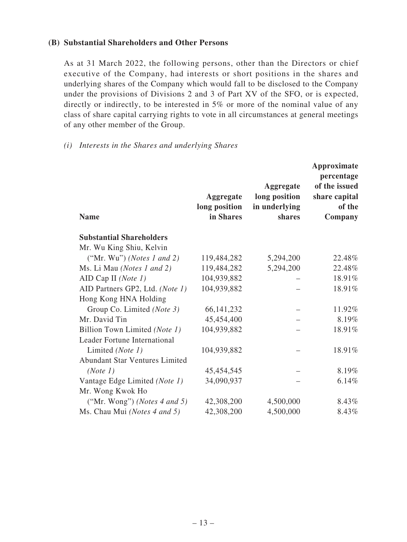### **(B) Substantial Shareholders and Other Persons**

As at 31 March 2022, the following persons, other than the Directors or chief executive of the Company, had interests or short positions in the shares and underlying shares of the Company which would fall to be disclosed to the Company under the provisions of Divisions 2 and 3 of Part XV of the SFO, or is expected, directly or indirectly, to be interested in 5% or more of the nominal value of any class of share capital carrying rights to vote in all circumstances at general meetings of any other member of the Group.

### *(i) Interests in the Shares and underlying Shares*

| <b>Name</b>                           | Aggregate<br>long position<br>in Shares | <b>Aggregate</b><br>long position<br>in underlying<br>shares | Approximate<br>percentage<br>of the issued<br>share capital<br>of the<br>Company |
|---------------------------------------|-----------------------------------------|--------------------------------------------------------------|----------------------------------------------------------------------------------|
| <b>Substantial Shareholders</b>       |                                         |                                                              |                                                                                  |
| Mr. Wu King Shiu, Kelvin              |                                         |                                                              |                                                                                  |
| ("Mr. Wu") (Notes 1 and 2)            | 119,484,282                             | 5,294,200                                                    | 22.48%                                                                           |
| Ms. Li Mau (Notes 1 and 2)            | 119,484,282                             | 5,294,200                                                    | 22.48%                                                                           |
| AID Cap II (Note $1$ )                | 104,939,882                             |                                                              | 18.91%                                                                           |
| AID Partners GP2, Ltd. (Note 1)       | 104,939,882                             |                                                              | 18.91%                                                                           |
| Hong Kong HNA Holding                 |                                         |                                                              |                                                                                  |
| Group Co. Limited (Note 3)            | 66, 141, 232                            |                                                              | 11.92%                                                                           |
| Mr. David Tin                         | 45,454,400                              |                                                              | 8.19%                                                                            |
| Billion Town Limited (Note 1)         | 104,939,882                             |                                                              | 18.91%                                                                           |
| Leader Fortune International          |                                         |                                                              |                                                                                  |
| Limited (Note 1)                      | 104,939,882                             |                                                              | 18.91%                                                                           |
| <b>Abundant Star Ventures Limited</b> |                                         |                                                              |                                                                                  |
| (Note 1)                              | 45,454,545                              |                                                              | 8.19%                                                                            |
| Vantage Edge Limited (Note 1)         | 34,090,937                              |                                                              | 6.14%                                                                            |
| Mr. Wong Kwok Ho                      |                                         |                                                              |                                                                                  |
| ("Mr. Wong") (Notes $4$ and $5$ )     | 42,308,200                              | 4,500,000                                                    | 8.43%                                                                            |
| Ms. Chau Mui (Notes 4 and 5)          | 42,308,200                              | 4,500,000                                                    | 8.43%                                                                            |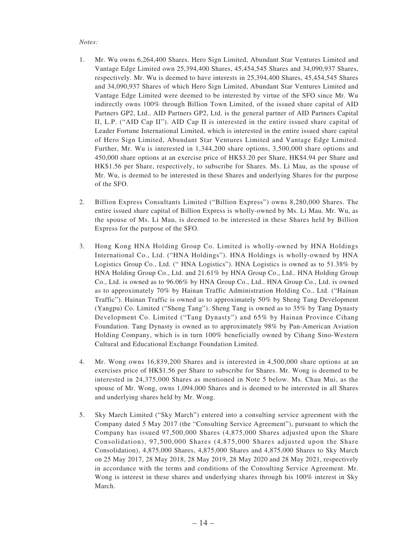#### *Notes:*

- 1. Mr. Wu owns 6,264,400 Shares. Hero Sign Limited, Abundant Star Ventures Limited and Vantage Edge Limited own 25,394,400 Shares, 45,454,545 Shares and 34,090,937 Shares, respectively. Mr. Wu is deemed to have interests in 25,394,400 Shares, 45,454,545 Shares and 34,090,937 Shares of which Hero Sign Limited, Abundant Star Ventures Limited and Vantage Edge Limited were deemed to be interested by virtue of the SFO since Mr. Wu indirectly owns 100% through Billion Town Limited, of the issued share capital of AID Partners GP2, Ltd.. AID Partners GP2, Ltd. is the general partner of AID Partners Capital II, L.P. ("AID Cap II"). AID Cap II is interested in the entire issued share capital of Leader Fortune International Limited, which is interested in the entire issued share capital of Hero Sign Limited, Abundant Star Ventures Limited and Vantage Edge Limited. Further, Mr. Wu is interested in 1,344,200 share options, 3,500,000 share options and 450,000 share options at an exercise price of HK\$3.20 per Share, HK\$4.94 per Share and HK\$1.56 per Share, respectively, to subscribe for Shares. Ms. Li Mau, as the spouse of Mr. Wu, is deemed to be interested in these Shares and underlying Shares for the purpose of the SFO.
- 2. Billion Express Consultants Limited ("Billion Express") owns 8,280,000 Shares. The entire issued share capital of Billion Express is wholly-owned by Ms. Li Mau. Mr. Wu, as the spouse of Ms. Li Mau, is deemed to be interested in these Shares held by Billion Express for the purpose of the SFO.
- 3. Hong Kong HNA Holding Group Co. Limited is wholly-owned by HNA Holdings International Co., Ltd. ("HNA Holdings"). HNA Holdings is wholly-owned by HNA Logistics Group Co., Ltd. (" HNA Logistics"). HNA Logistics is owned as to 51.38% by HNA Holding Group Co., Ltd. and 21.61% by HNA Group Co., Ltd.. HNA Holding Group Co., Ltd. is owned as to 96.06% by HNA Group Co., Ltd.. HNA Group Co., Ltd. is owned as to approximately 70% by Hainan Traffic Administration Holding Co., Ltd. ("Hainan Traffic"). Hainan Traffic is owned as to approximately 50% by Sheng Tang Development (Yangpu) Co. Limited ("Sheng Tang"). Sheng Tang is owned as to 35% by Tang Dynasty Development Co. Limited ("Tang Dynasty") and 65% by Hainan Province Cihang Foundation. Tang Dynasty is owned as to approximately 98% by Pan-American Aviation Holding Company, which is in turn 100% beneficially owned by Cihang Sino-Western Cultural and Educational Exchange Foundation Limited.
- 4. Mr. Wong owns 16,839,200 Shares and is interested in 4,500,000 share options at an exercises price of HK\$1.56 per Share to subscribe for Shares. Mr. Wong is deemed to be interested in 24,375,000 Shares as mentioned in Note 5 below. Ms. Chau Mui, as the spouse of Mr. Wong, owns 1,094,000 Shares and is deemed to be interested in all Shares and underlying shares held by Mr. Wong.
- 5. Sky March Limited ("Sky March") entered into a consulting service agreement with the Company dated 5 May 2017 (the "Consulting Service Agreement"), pursuant to which the Company has issued 97,500,000 Shares (4,875,000 Shares adjusted upon the Share Consolidation), 97,500,000 Shares (4,875,000 Shares adjusted upon the Share Consolidation), 4,875,000 Shares, 4,875,000 Shares and 4,875,000 Shares to Sky March on 25 May 2017, 28 May 2018, 28 May 2019, 28 May 2020 and 28 May 2021, respectively in accordance with the terms and conditions of the Consulting Service Agreement. Mr. Wong is interest in these shares and underlying shares through his 100% interest in Sky March.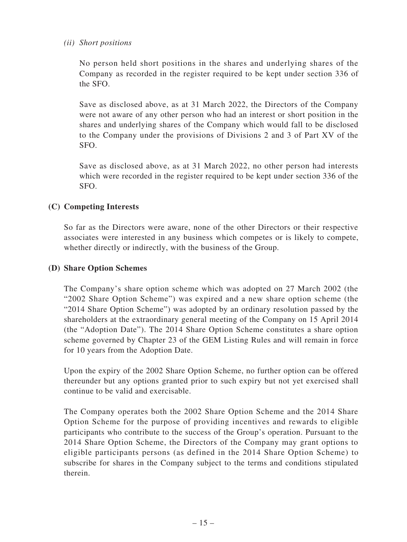### *(ii) Short positions*

No person held short positions in the shares and underlying shares of the Company as recorded in the register required to be kept under section 336 of the SFO.

Save as disclosed above, as at 31 March 2022, the Directors of the Company were not aware of any other person who had an interest or short position in the shares and underlying shares of the Company which would fall to be disclosed to the Company under the provisions of Divisions 2 and 3 of Part XV of the SFO.

Save as disclosed above, as at 31 March 2022, no other person had interests which were recorded in the register required to be kept under section 336 of the SFO.

# **(C) Competing Interests**

So far as the Directors were aware, none of the other Directors or their respective associates were interested in any business which competes or is likely to compete, whether directly or indirectly, with the business of the Group.

# **(D) Share Option Schemes**

The Company's share option scheme which was adopted on 27 March 2002 (the "2002 Share Option Scheme") was expired and a new share option scheme (the "2014 Share Option Scheme") was adopted by an ordinary resolution passed by the shareholders at the extraordinary general meeting of the Company on 15 April 2014 (the "Adoption Date"). The 2014 Share Option Scheme constitutes a share option scheme governed by Chapter 23 of the GEM Listing Rules and will remain in force for 10 years from the Adoption Date.

Upon the expiry of the 2002 Share Option Scheme, no further option can be offered thereunder but any options granted prior to such expiry but not yet exercised shall continue to be valid and exercisable.

The Company operates both the 2002 Share Option Scheme and the 2014 Share Option Scheme for the purpose of providing incentives and rewards to eligible participants who contribute to the success of the Group's operation. Pursuant to the 2014 Share Option Scheme, the Directors of the Company may grant options to eligible participants persons (as defined in the 2014 Share Option Scheme) to subscribe for shares in the Company subject to the terms and conditions stipulated therein.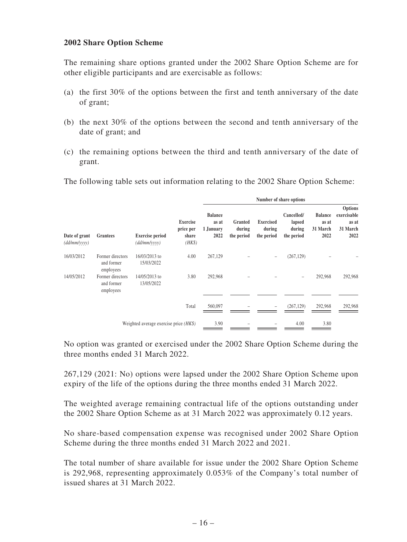### **2002 Share Option Scheme**

The remaining share options granted under the 2002 Share Option Scheme are for other eligible participants and are exercisable as follows:

- (a) the first 30% of the options between the first and tenth anniversary of the date of grant;
- (b) the next 30% of the options between the second and tenth anniversary of the date of grant; and
- (c) the remaining options between the third and tenth anniversary of the date of grant.
- The following table sets out information relating to the 2002 Share Option Scheme:

|                                     |                                             |                                          |                                                 | Number of share options                      |                                 |                                          |                                              |                                             |                                                            |  |  |
|-------------------------------------|---------------------------------------------|------------------------------------------|-------------------------------------------------|----------------------------------------------|---------------------------------|------------------------------------------|----------------------------------------------|---------------------------------------------|------------------------------------------------------------|--|--|
| Date of grant<br>$(dd/mm/$ yyyy $)$ | <b>Grantees</b>                             | <b>Exercise period</b><br>(dd/mm/yyyy)   | <b>Exercise</b><br>price per<br>share<br>$(HK\$ | <b>Balance</b><br>as at<br>1 January<br>2022 | Granted<br>during<br>the period | <b>Exercised</b><br>during<br>the period | Cancelled/<br>lapsed<br>during<br>the period | <b>Balance</b><br>as at<br>31 March<br>2022 | <b>Options</b><br>exercisable<br>as at<br>31 March<br>2022 |  |  |
| 16/03/2012                          | Former directors<br>and former<br>employees | 16/03/2013 to<br>15/03/2022              | 4.00                                            | 267,129                                      |                                 | -                                        | (267, 129)                                   |                                             |                                                            |  |  |
| 14/05/2012                          | Former directors<br>and former<br>employees | 14/05/2013 to<br>13/05/2022              | 3.80                                            | 292,968                                      |                                 |                                          |                                              | 292,968                                     | 292,968                                                    |  |  |
|                                     |                                             |                                          | Total                                           | 560,097                                      |                                 | -                                        | (267, 129)                                   | 292,968                                     | 292,968                                                    |  |  |
|                                     |                                             | Weighted average exercise price $(HK\$ ) |                                                 | 3.90                                         |                                 |                                          | 4.00                                         | 3.80                                        |                                                            |  |  |

No option was granted or exercised under the 2002 Share Option Scheme during the three months ended 31 March 2022.

267,129 (2021: No) options were lapsed under the 2002 Share Option Scheme upon expiry of the life of the options during the three months ended 31 March 2022.

The weighted average remaining contractual life of the options outstanding under the 2002 Share Option Scheme as at 31 March 2022 was approximately 0.12 years.

No share-based compensation expense was recognised under 2002 Share Option Scheme during the three months ended 31 March 2022 and 2021.

The total number of share available for issue under the 2002 Share Option Scheme is 292,968, representing approximately 0.053% of the Company's total number of issued shares at 31 March 2022.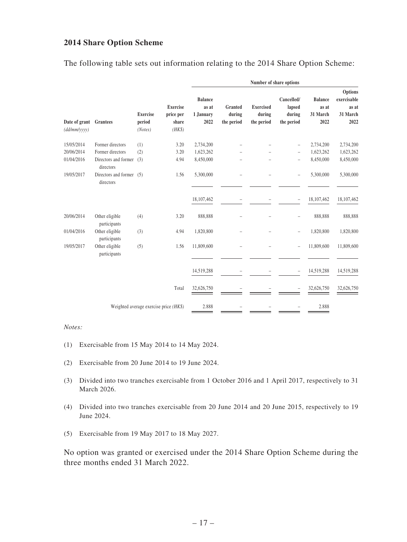### **2014 Share Option Scheme**

The following table sets out information relating to the 2014 Share Option Scheme:

|                                                  |                                       |                                                 |                                              | Number of share options         |                                          |                                              |                                             |                                                     |            |  |  |  |
|--------------------------------------------------|---------------------------------------|-------------------------------------------------|----------------------------------------------|---------------------------------|------------------------------------------|----------------------------------------------|---------------------------------------------|-----------------------------------------------------|------------|--|--|--|
| Date of grant<br><b>Grantees</b><br>(dd/mm/vvvv) | <b>Exercise</b><br>period<br>(Notes)  | <b>Exercise</b><br>price per<br>share<br>$(HK\$ | <b>Balance</b><br>as at<br>1 January<br>2022 | Granted<br>during<br>the period | <b>Exercised</b><br>during<br>the period | Cancelled/<br>lapsed<br>during<br>the period | <b>Balance</b><br>as at<br>31 March<br>2022 | Options<br>exercisable<br>as at<br>31 March<br>2022 |            |  |  |  |
| 15/05/2014                                       | Former directors                      | (1)                                             | 3.20                                         | 2,734,200                       |                                          |                                              | $\overline{a}$                              | 2,734,200                                           | 2,734,200  |  |  |  |
| 20/06/2014                                       | Former directors                      | (2)                                             | 3.20                                         | 1,623,262                       |                                          |                                              | $\overline{a}$                              | 1,623,262                                           | 1,623,262  |  |  |  |
| 01/04/2016                                       | Directors and former<br>directors     | (3)                                             | 4.94                                         | 8,450,000                       |                                          |                                              | $\overline{a}$                              | 8,450,000                                           | 8,450,000  |  |  |  |
| 19/05/2017                                       | Directors and former (5)<br>directors |                                                 | 1.56                                         | 5,300,000                       |                                          |                                              | $\overline{\phantom{0}}$                    | 5,300,000                                           | 5,300,000  |  |  |  |
|                                                  |                                       |                                                 |                                              | 18,107,462                      |                                          |                                              | $\overline{a}$                              | 18,107,462                                          | 18,107,462 |  |  |  |
| 20/06/2014                                       | Other eligible<br>participants        | (4)                                             | 3.20                                         | 888,888                         |                                          |                                              |                                             | 888,888                                             | 888,888    |  |  |  |
| 01/04/2016                                       | Other eligible<br>participants        | (3)                                             | 4.94                                         | 1,820,800                       |                                          |                                              | $\overline{a}$                              | 1,820,800                                           | 1,820,800  |  |  |  |
| 19/05/2017                                       | Other eligible<br>participants        | (5)                                             | 1.56                                         | 11,809,600                      |                                          |                                              | $\overline{a}$                              | 11,809,600                                          | 11,809,600 |  |  |  |
|                                                  |                                       |                                                 |                                              | 14,519,288                      |                                          |                                              | $\overline{a}$                              | 14,519,288                                          | 14,519,288 |  |  |  |
|                                                  |                                       |                                                 | Total                                        | 32,626,750                      |                                          |                                              |                                             | 32,626,750                                          | 32,626,750 |  |  |  |
|                                                  |                                       |                                                 | Weighted average exercise price $(HK\$ )     | 2.888                           |                                          |                                              |                                             | 2.888                                               |            |  |  |  |

#### *Notes:*

- (1) Exercisable from 15 May 2014 to 14 May 2024.
- (2) Exercisable from 20 June 2014 to 19 June 2024.
- (3) Divided into two tranches exercisable from 1 October 2016 and 1 April 2017, respectively to 31 March 2026.
- (4) Divided into two tranches exercisable from 20 June 2014 and 20 June 2015, respectively to 19 June 2024.
- (5) Exercisable from 19 May 2017 to 18 May 2027.

No option was granted or exercised under the 2014 Share Option Scheme during the three months ended 31 March 2022.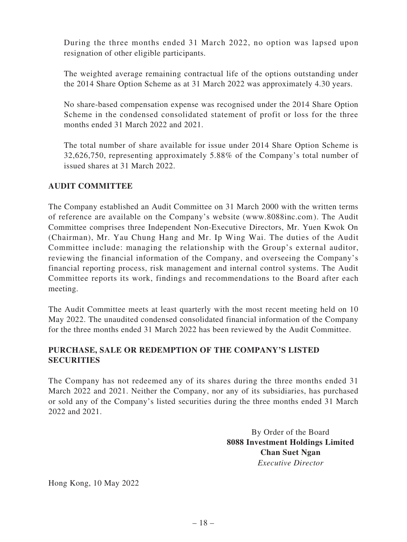During the three months ended 31 March 2022, no option was lapsed upon resignation of other eligible participants.

The weighted average remaining contractual life of the options outstanding under the 2014 Share Option Scheme as at 31 March 2022 was approximately 4.30 years.

No share-based compensation expense was recognised under the 2014 Share Option Scheme in the condensed consolidated statement of profit or loss for the three months ended 31 March 2022 and 2021.

The total number of share available for issue under 2014 Share Option Scheme is 32,626,750, representing approximately 5.88% of the Company's total number of issued shares at 31 March 2022.

# **AUDIT COMMITTEE**

The Company established an Audit Committee on 31 March 2000 with the written terms of reference are available on the Company's website (www.8088inc.com). The Audit Committee comprises three Independent Non-Executive Directors, Mr. Yuen Kwok On (Chairman), Mr. Yau Chung Hang and Mr. Ip Wing Wai. The duties of the Audit Committee include: managing the relationship with the Group's external auditor, reviewing the financial information of the Company, and overseeing the Company's financial reporting process, risk management and internal control systems. The Audit Committee reports its work, findings and recommendations to the Board after each meeting.

The Audit Committee meets at least quarterly with the most recent meeting held on 10 May 2022. The unaudited condensed consolidated financial information of the Company for the three months ended 31 March 2022 has been reviewed by the Audit Committee.

# **PURCHASE, SALE OR REDEMPTION OF THE COMPANY'S LISTED SECURITIES**

The Company has not redeemed any of its shares during the three months ended 31 March 2022 and 2021. Neither the Company, nor any of its subsidiaries, has purchased or sold any of the Company's listed securities during the three months ended 31 March 2022 and 2021.

> By Order of the Board **8088 Investment Holdings Limited Chan Suet Ngan** *Executive Director*

Hong Kong, 10 May 2022